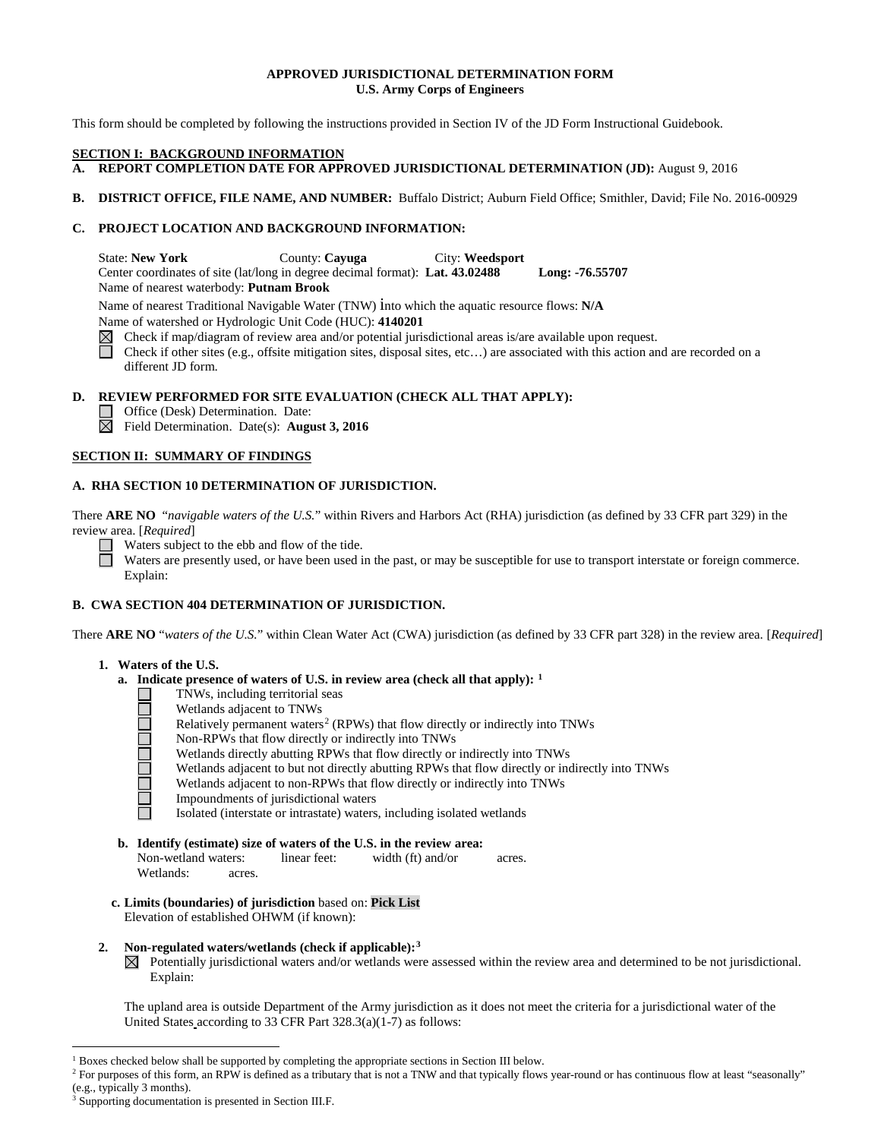# **APPROVED JURISDICTIONAL DETERMINATION FORM U.S. Army Corps of Engineers**

This form should be completed by following the instructions provided in Section IV of the JD Form Instructional Guidebook.

#### **SECTION I: BACKGROUND INFORMATION**

- **A. REPORT COMPLETION DATE FOR APPROVED JURISDICTIONAL DETERMINATION (JD):** August 9, 2016
- **B. DISTRICT OFFICE, FILE NAME, AND NUMBER:** Buffalo District; Auburn Field Office; Smithler, David; File No. 2016-00929

# **C. PROJECT LOCATION AND BACKGROUND INFORMATION:**

State: **New York** County: **Cayuga** City: **Weedsport** Center coordinates of site (lat/long in degree decimal format): **Lat. 43.02488 Long: -76.55707** Name of nearest waterbody: **Putnam Brook**

Name of nearest Traditional Navigable Water (TNW) into which the aquatic resource flows: **N/A**

Name of watershed or Hydrologic Unit Code (HUC): **4140201**

 $\boxtimes$ Check if map/diagram of review area and/or potential jurisdictional areas is/are available upon request.

Check if other sites (e.g., offsite mitigation sites, disposal sites, etc...) are associated with this action and are recorded on a different JD form.

# **D. REVIEW PERFORMED FOR SITE EVALUATION (CHECK ALL THAT APPLY):**

Office (Desk) Determination. Date:

Field Determination. Date(s): **August 3, 2016**

# **SECTION II: SUMMARY OF FINDINGS**

# **A. RHA SECTION 10 DETERMINATION OF JURISDICTION.**

There **ARE NO** "*navigable waters of the U.S.*" within Rivers and Harbors Act (RHA) jurisdiction (as defined by 33 CFR part 329) in the review area. [*Required*]

Waters subject to the ebb and flow of the tide.

Waters are presently used, or have been used in the past, or may be susceptible for use to transport interstate or foreign commerce. Explain:

# **B. CWA SECTION 404 DETERMINATION OF JURISDICTION.**

There **ARE NO** "*waters of the U.S.*" within Clean Water Act (CWA) jurisdiction (as defined by 33 CFR part 328) in the review area. [*Required*]

# **1. Waters of the U.S.**

- **a. Indicate presence of waters of U.S. in review area (check all that apply): [1](#page-0-0)**
	- TNWs, including territorial seas
	- Wetlands adjacent to TNWs
	- Relatively permanent waters<sup>[2](#page-0-1)</sup> (RPWs) that flow directly or indirectly into TNWs
	- Non-RPWs that flow directly or indirectly into TNWs
	- <u>TELEMENTE</u> Wetlands directly abutting RPWs that flow directly or indirectly into TNWs
		- Wetlands adjacent to but not directly abutting RPWs that flow directly or indirectly into TNWs
		- Wetlands adjacent to non-RPWs that flow directly or indirectly into TNWs
		- Impoundments of jurisdictional waters
		- Isolated (interstate or intrastate) waters, including isolated wetlands
- **b. Identify (estimate) size of waters of the U.S. in the review area:** Non-wetland waters: linear feet: width (ft) and/or acres. Wetlands: acres.
- **c. Limits (boundaries) of jurisdiction** based on: **Pick List** Elevation of established OHWM (if known):

# **2. Non-regulated waters/wetlands (check if applicable):[3](#page-0-2)**

 $\boxtimes$  Potentially jurisdictional waters and/or wetlands were assessed within the review area and determined to be not jurisdictional. Explain:

The upland area is outside Department of the Army jurisdiction as it does not meet the criteria for a jurisdictional water of the United States according to 33 CFR Part 328.3(a)(1-7) as follows:

<sup>&</sup>lt;sup>1</sup> Boxes checked below shall be supported by completing the appropriate sections in Section III below.

<span id="page-0-1"></span><span id="page-0-0"></span><sup>&</sup>lt;sup>2</sup> For purposes of this form, an RPW is defined as a tributary that is not a TNW and that typically flows year-round or has continuous flow at least "seasonally" (e.g., typically 3 months).

<span id="page-0-2"></span>Supporting documentation is presented in Section III.F.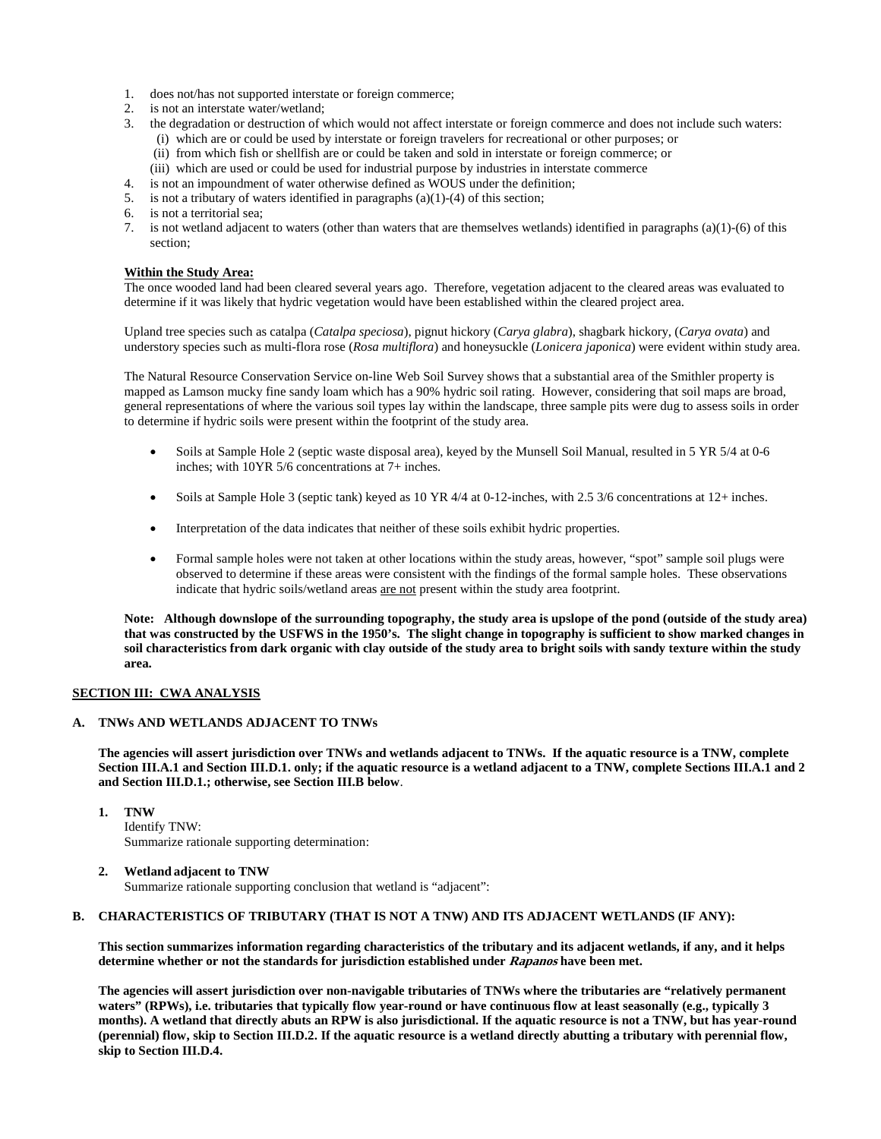- 1. does not/has not supported interstate or foreign commerce;
- 2. is not an interstate water/wetland;
- 3. the degradation or destruction of which would not affect interstate or foreign commerce and does not include such waters: (i) which are or could be used by interstate or foreign travelers for recreational or other purposes; or
	- (ii) from which fish or shellfish are or could be taken and sold in interstate or foreign commerce; or
	- (iii) which are used or could be used for industrial purpose by industries in interstate commerce
- 4. is not an impoundment of water otherwise defined as WOUS under the definition;
- 5. is not a tributary of waters identified in paragraphs (a)(1)-(4) of this section;<br>6. is not a territorial sea;
- is not a territorial sea;
- 7. is not wetland adjacent to waters (other than waters that are themselves wetlands) identified in paragraphs (a)(1)-(6) of this section;

### **Within the Study Area:**

The once wooded land had been cleared several years ago. Therefore, vegetation adjacent to the cleared areas was evaluated to determine if it was likely that hydric vegetation would have been established within the cleared project area.

Upland tree species such as catalpa (*Catalpa speciosa*), pignut hickory (*Carya glabra*), shagbark hickory, (*Carya ovata*) and understory species such as multi-flora rose (*Rosa multiflora*) and honeysuckle (*Lonicera japonica*) were evident within study area.

The Natural Resource Conservation Service on-line Web Soil Survey shows that a substantial area of the Smithler property is mapped as Lamson mucky fine sandy loam which has a 90% hydric soil rating. However, considering that soil maps are broad, general representations of where the various soil types lay within the landscape, three sample pits were dug to assess soils in order to determine if hydric soils were present within the footprint of the study area.

- Soils at Sample Hole 2 (septic waste disposal area), keyed by the Munsell Soil Manual, resulted in 5 YR 5/4 at 0-6 inches; with 10YR 5/6 concentrations at 7+ inches.
- Soils at Sample Hole 3 (septic tank) keyed as 10 YR 4/4 at 0-12-inches, with 2.5 3/6 concentrations at 12+ inches.
- Interpretation of the data indicates that neither of these soils exhibit hydric properties.
- Formal sample holes were not taken at other locations within the study areas, however, "spot" sample soil plugs were observed to determine if these areas were consistent with the findings of the formal sample holes. These observations indicate that hydric soils/wetland areas are not present within the study area footprint.

**Note: Although downslope of the surrounding topography, the study area is upslope of the pond (outside of the study area) that was constructed by the USFWS in the 1950's. The slight change in topography is sufficient to show marked changes in soil characteristics from dark organic with clay outside of the study area to bright soils with sandy texture within the study area.**

#### **SECTION III: CWA ANALYSIS**

#### **A. TNWs AND WETLANDS ADJACENT TO TNWs**

**The agencies will assert jurisdiction over TNWs and wetlands adjacent to TNWs. If the aquatic resource is a TNW, complete Section III.A.1 and Section III.D.1. only; if the aquatic resource is a wetland adjacent to a TNW, complete Sections III.A.1 and 2 and Section III.D.1.; otherwise, see Section III.B below**.

**1. TNW** 

Identify TNW: Summarize rationale supporting determination:

### **2. Wetland adjacent to TNW**

Summarize rationale supporting conclusion that wetland is "adjacent":

# **B. CHARACTERISTICS OF TRIBUTARY (THAT IS NOT A TNW) AND ITS ADJACENT WETLANDS (IF ANY):**

**This section summarizes information regarding characteristics of the tributary and its adjacent wetlands, if any, and it helps determine whether or not the standards for jurisdiction established under Rapanos have been met.** 

**The agencies will assert jurisdiction over non-navigable tributaries of TNWs where the tributaries are "relatively permanent waters" (RPWs), i.e. tributaries that typically flow year-round or have continuous flow at least seasonally (e.g., typically 3 months). A wetland that directly abuts an RPW is also jurisdictional. If the aquatic resource is not a TNW, but has year-round (perennial) flow, skip to Section III.D.2. If the aquatic resource is a wetland directly abutting a tributary with perennial flow, skip to Section III.D.4.**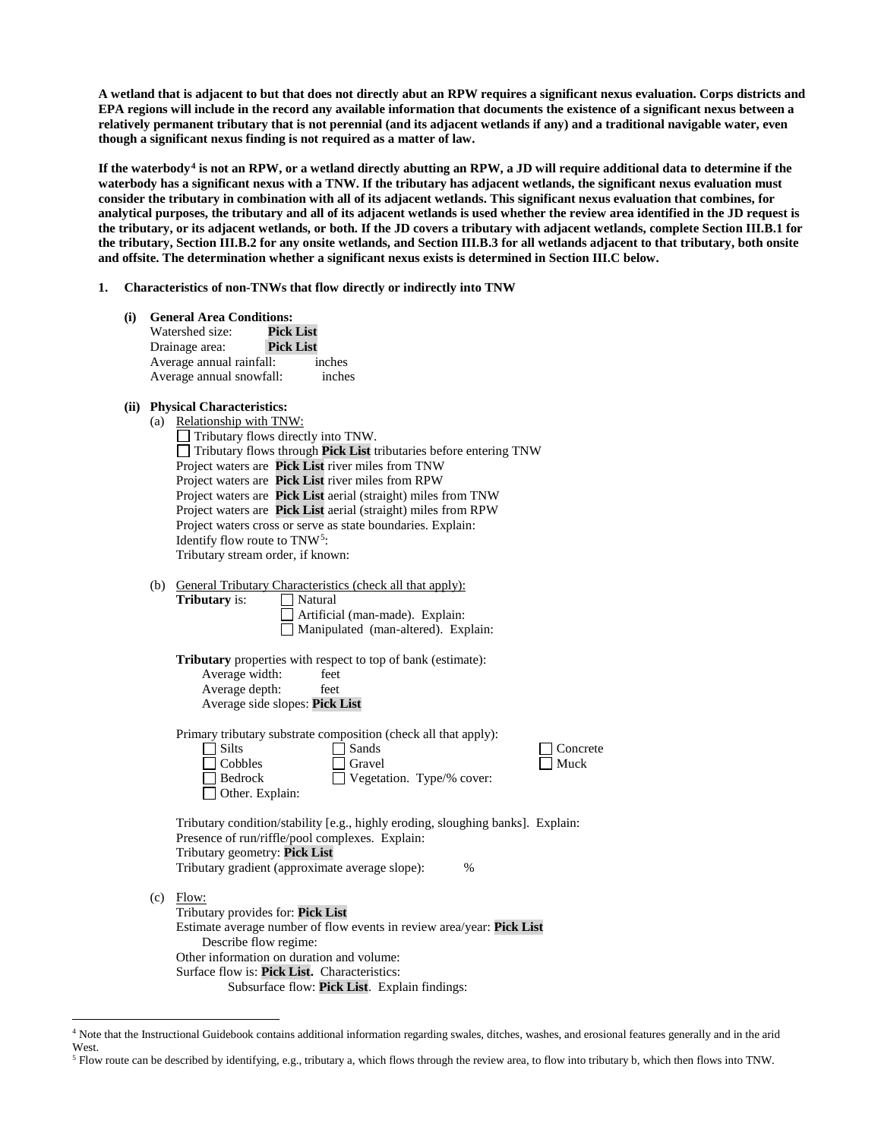**A wetland that is adjacent to but that does not directly abut an RPW requires a significant nexus evaluation. Corps districts and EPA regions will include in the record any available information that documents the existence of a significant nexus between a relatively permanent tributary that is not perennial (and its adjacent wetlands if any) and a traditional navigable water, even though a significant nexus finding is not required as a matter of law.**

**If the waterbody[4](#page-2-0) is not an RPW, or a wetland directly abutting an RPW, a JD will require additional data to determine if the waterbody has a significant nexus with a TNW. If the tributary has adjacent wetlands, the significant nexus evaluation must consider the tributary in combination with all of its adjacent wetlands. This significant nexus evaluation that combines, for analytical purposes, the tributary and all of its adjacent wetlands is used whether the review area identified in the JD request is the tributary, or its adjacent wetlands, or both. If the JD covers a tributary with adjacent wetlands, complete Section III.B.1 for the tributary, Section III.B.2 for any onsite wetlands, and Section III.B.3 for all wetlands adjacent to that tributary, both onsite and offsite. The determination whether a significant nexus exists is determined in Section III.C below.**

#### **1. Characteristics of non-TNWs that flow directly or indirectly into TNW**

| (i)  |                                                                                                                                                                                                                                                                                                                                                                                                                                                                                                                                                                        | <b>General Area Conditions:</b><br><b>Pick List</b><br>Watershed size:<br><b>Pick List</b><br>Drainage area:<br>Average annual rainfall:<br>inches<br>Average annual snowfall:<br>inches                                                                                                   |  |  |
|------|------------------------------------------------------------------------------------------------------------------------------------------------------------------------------------------------------------------------------------------------------------------------------------------------------------------------------------------------------------------------------------------------------------------------------------------------------------------------------------------------------------------------------------------------------------------------|--------------------------------------------------------------------------------------------------------------------------------------------------------------------------------------------------------------------------------------------------------------------------------------------|--|--|
| (ii) | <b>Physical Characteristics:</b><br>(a) Relationship with TNW:<br>Tributary flows directly into TNW.<br>Tributary flows through Pick List tributaries before entering TNW<br>Project waters are Pick List river miles from TNW<br>Project waters are Pick List river miles from RPW<br>Project waters are Pick List aerial (straight) miles from TNW<br>Project waters are Pick List aerial (straight) miles from RPW<br>Project waters cross or serve as state boundaries. Explain:<br>Identify flow route to TNW <sup>5</sup> :<br>Tributary stream order, if known: |                                                                                                                                                                                                                                                                                            |  |  |
|      |                                                                                                                                                                                                                                                                                                                                                                                                                                                                                                                                                                        | (b) General Tributary Characteristics (check all that apply):<br>Tributary is:<br>$\Box$ Natural<br>Artificial (man-made). Explain:<br>Manipulated (man-altered). Explain:                                                                                                                 |  |  |
|      |                                                                                                                                                                                                                                                                                                                                                                                                                                                                                                                                                                        | <b>Tributary</b> properties with respect to top of bank (estimate):<br>Average width:<br>feet<br>Average depth:<br>feet<br>Average side slopes: Pick List                                                                                                                                  |  |  |
|      |                                                                                                                                                                                                                                                                                                                                                                                                                                                                                                                                                                        | Primary tributary substrate composition (check all that apply):<br>$\Box$ Silts<br>Sands<br>Concrete<br>  Cobbles<br>Muck<br>Gravel<br>$\Box$ Bedrock<br>Vegetation. Type/% cover:<br>Other. Explain:                                                                                      |  |  |
|      |                                                                                                                                                                                                                                                                                                                                                                                                                                                                                                                                                                        | Tributary condition/stability [e.g., highly eroding, sloughing banks]. Explain:<br>Presence of run/riffle/pool complexes. Explain:<br>Tributary geometry: Pick List<br>Tributary gradient (approximate average slope):<br>$\frac{0}{0}$                                                    |  |  |
|      | (c)                                                                                                                                                                                                                                                                                                                                                                                                                                                                                                                                                                    | Flow:<br>Tributary provides for: Pick List<br>Estimate average number of flow events in review area/year: Pick List<br>Describe flow regime:<br>Other information on duration and volume:<br>Surface flow is: Pick List. Characteristics:<br>Subsurface flow: Pick List. Explain findings: |  |  |

<span id="page-2-0"></span> <sup>4</sup> Note that the Instructional Guidebook contains additional information regarding swales, ditches, washes, and erosional features generally and in the arid West.

<span id="page-2-1"></span><sup>5</sup> Flow route can be described by identifying, e.g., tributary a, which flows through the review area, to flow into tributary b, which then flows into TNW.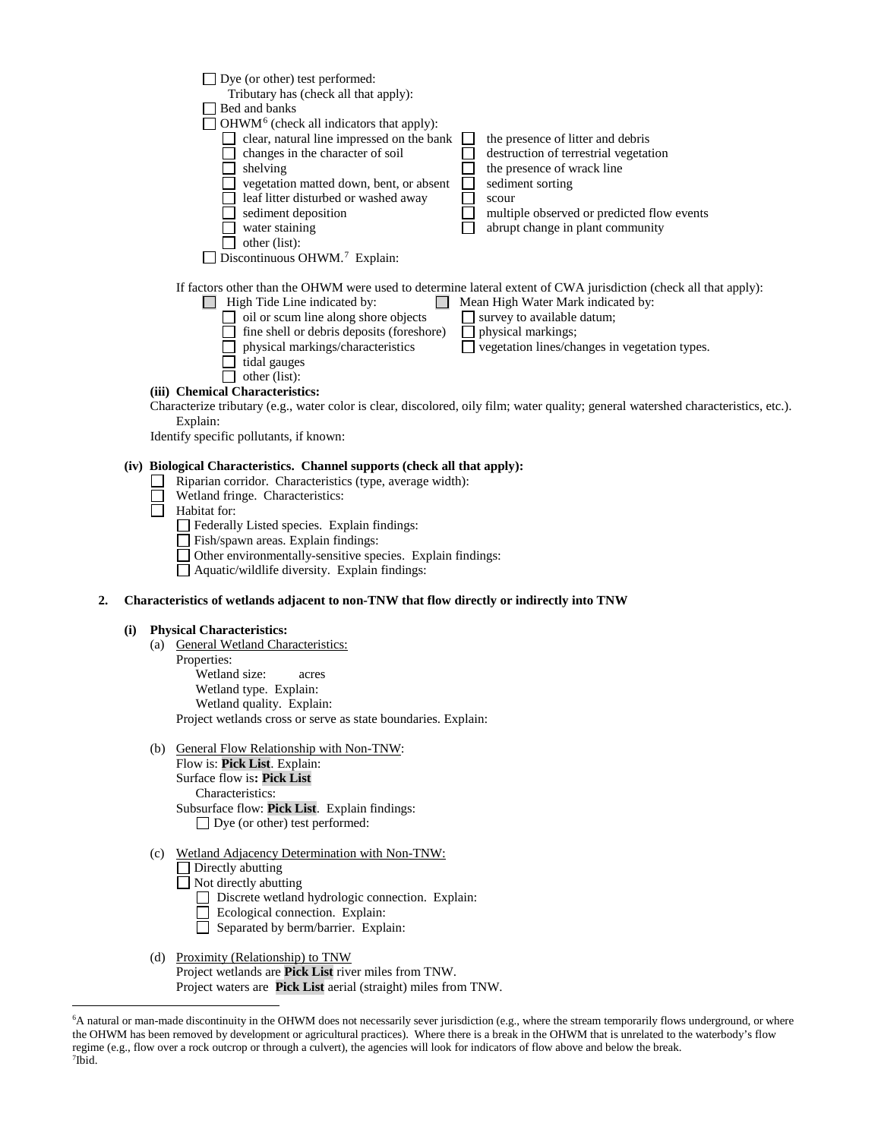| Dye (or other) test performed:                                                                                                                                                                                                                                                                                                                                                                                                                                                                                                               |                                                                                                                                         |
|----------------------------------------------------------------------------------------------------------------------------------------------------------------------------------------------------------------------------------------------------------------------------------------------------------------------------------------------------------------------------------------------------------------------------------------------------------------------------------------------------------------------------------------------|-----------------------------------------------------------------------------------------------------------------------------------------|
| Tributary has (check all that apply):                                                                                                                                                                                                                                                                                                                                                                                                                                                                                                        |                                                                                                                                         |
| Bed and banks                                                                                                                                                                                                                                                                                                                                                                                                                                                                                                                                |                                                                                                                                         |
| OHWM <sup>6</sup> (check all indicators that apply):                                                                                                                                                                                                                                                                                                                                                                                                                                                                                         |                                                                                                                                         |
| clear, natural line impressed on the bank                                                                                                                                                                                                                                                                                                                                                                                                                                                                                                    | the presence of litter and debris                                                                                                       |
| changes in the character of soil                                                                                                                                                                                                                                                                                                                                                                                                                                                                                                             | destruction of terrestrial vegetation                                                                                                   |
| shelving                                                                                                                                                                                                                                                                                                                                                                                                                                                                                                                                     | the presence of wrack line                                                                                                              |
| vegetation matted down, bent, or absent                                                                                                                                                                                                                                                                                                                                                                                                                                                                                                      | sediment sorting                                                                                                                        |
| leaf litter disturbed or washed away                                                                                                                                                                                                                                                                                                                                                                                                                                                                                                         | scour                                                                                                                                   |
| sediment deposition                                                                                                                                                                                                                                                                                                                                                                                                                                                                                                                          | multiple observed or predicted flow events                                                                                              |
| water staining                                                                                                                                                                                                                                                                                                                                                                                                                                                                                                                               | abrupt change in plant community                                                                                                        |
| other (list):                                                                                                                                                                                                                                                                                                                                                                                                                                                                                                                                |                                                                                                                                         |
| Discontinuous OHWM. <sup>7</sup> Explain:                                                                                                                                                                                                                                                                                                                                                                                                                                                                                                    |                                                                                                                                         |
| If factors other than the OHWM were used to determine lateral extent of CWA jurisdiction (check all that apply):<br>High Tide Line indicated by:<br>oil or scum line along shore objects<br>fine shell or debris deposits (foreshore)<br>physical markings/characteristics<br>tidal gauges<br>other (list):<br>(iii) Chemical Characteristics:<br>Characterize tributary (e.g., water color is clear, discolored, oily film; water quality; general watershed characteristics, etc.).<br>Explain:<br>Identify specific pollutants, if known: | Mean High Water Mark indicated by:<br>survey to available datum;<br>physical markings;<br>vegetation lines/changes in vegetation types. |
| (iv) Biological Characteristics. Channel supports (check all that apply):<br>Riparian corridor. Characteristics (type, average width):<br>Wetland fringe. Characteristics:<br>Habitat for:                                                                                                                                                                                                                                                                                                                                                   |                                                                                                                                         |
| Federally Listed species. Explain findings:                                                                                                                                                                                                                                                                                                                                                                                                                                                                                                  |                                                                                                                                         |
| Fish/spawn areas. Explain findings:                                                                                                                                                                                                                                                                                                                                                                                                                                                                                                          |                                                                                                                                         |

Other environmentally-sensitive species. Explain findings:

Aquatic/wildlife diversity. Explain findings:

### **2. Characteristics of wetlands adjacent to non-TNW that flow directly or indirectly into TNW**

#### **(i) Physical Characteristics:**

- (a) General Wetland Characteristics:
- Properties:

Wetland size: acres

Wetland type. Explain:

Wetland quality. Explain:

Project wetlands cross or serve as state boundaries. Explain:

(b) General Flow Relationship with Non-TNW:

Flow is: **Pick List**. Explain: Surface flow is**: Pick List**  Characteristics: Subsurface flow: **Pick List**. Explain findings:

Dye (or other) test performed:

(c) Wetland Adjacency Determination with Non-TNW:

Directly abutting

 $\Box$  Not directly abutting

Discrete wetland hydrologic connection. Explain:

- Ecological connection. Explain:
- Separated by berm/barrier. Explain:

### (d) Proximity (Relationship) to TNW Project wetlands are **Pick List** river miles from TNW. Project waters are **Pick List** aerial (straight) miles from TNW.

<span id="page-3-1"></span><span id="page-3-0"></span> <sup>6</sup> <sup>6</sup>A natural or man-made discontinuity in the OHWM does not necessarily sever jurisdiction (e.g., where the stream temporarily flows underground, or where the OHWM has been removed by development or agricultural practices). Where there is a break in the OHWM that is unrelated to the waterbody's flow regime (e.g., flow over a rock outcrop or through a culvert), the agencies will look for indicators of flow above and below the break. 7 Ibid.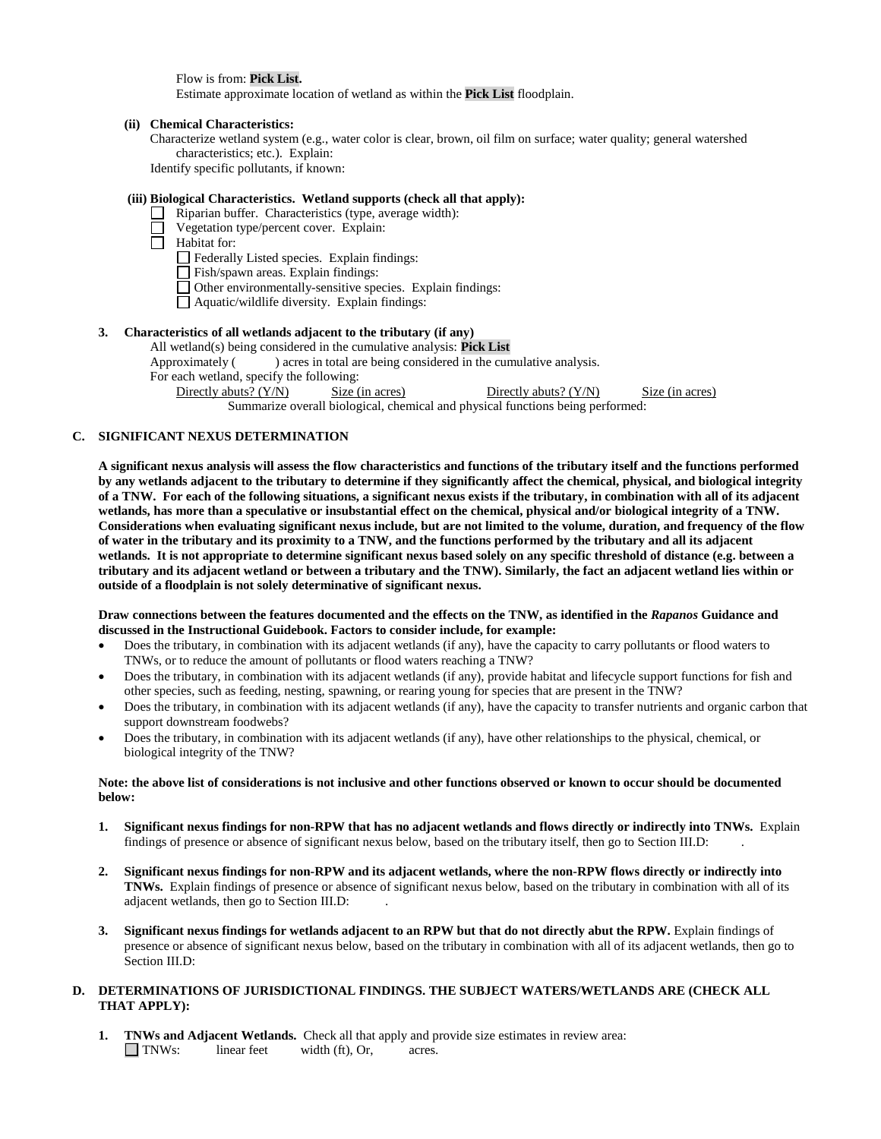Flow is from: **Pick List.**

Estimate approximate location of wetland as within the **Pick List** floodplain.

#### **(ii) Chemical Characteristics:**

Characterize wetland system (e.g., water color is clear, brown, oil film on surface; water quality; general watershed characteristics; etc.). Explain:

Identify specific pollutants, if known:

# **(iii) Biological Characteristics. Wetland supports (check all that apply):**

- $\Box$  Riparian buffer. Characteristics (type, average width):
	- Vegetation type/percent cover. Explain:
- $\overline{\Box}$  Habitat for:

Federally Listed species. Explain findings:

Fish/spawn areas. Explain findings:

- $\Box$  Other environmentally-sensitive species. Explain findings:
- Aquatic/wildlife diversity. Explain findings:

## **3. Characteristics of all wetlands adjacent to the tributary (if any)**

All wetland(s) being considered in the cumulative analysis: **Pick List**

Approximately () acres in total are being considered in the cumulative analysis.

For each wetland, specify the following:

Directly abuts? (Y/N) Size (in acres) Directly abuts? (Y/N) Size (in acres)

Summarize overall biological, chemical and physical functions being performed:

# **C. SIGNIFICANT NEXUS DETERMINATION**

**A significant nexus analysis will assess the flow characteristics and functions of the tributary itself and the functions performed by any wetlands adjacent to the tributary to determine if they significantly affect the chemical, physical, and biological integrity of a TNW. For each of the following situations, a significant nexus exists if the tributary, in combination with all of its adjacent wetlands, has more than a speculative or insubstantial effect on the chemical, physical and/or biological integrity of a TNW. Considerations when evaluating significant nexus include, but are not limited to the volume, duration, and frequency of the flow of water in the tributary and its proximity to a TNW, and the functions performed by the tributary and all its adjacent wetlands. It is not appropriate to determine significant nexus based solely on any specific threshold of distance (e.g. between a tributary and its adjacent wetland or between a tributary and the TNW). Similarly, the fact an adjacent wetland lies within or outside of a floodplain is not solely determinative of significant nexus.** 

## **Draw connections between the features documented and the effects on the TNW, as identified in the** *Rapanos* **Guidance and discussed in the Instructional Guidebook. Factors to consider include, for example:**

- Does the tributary, in combination with its adjacent wetlands (if any), have the capacity to carry pollutants or flood waters to TNWs, or to reduce the amount of pollutants or flood waters reaching a TNW?
- Does the tributary, in combination with its adjacent wetlands (if any), provide habitat and lifecycle support functions for fish and other species, such as feeding, nesting, spawning, or rearing young for species that are present in the TNW?
- Does the tributary, in combination with its adjacent wetlands (if any), have the capacity to transfer nutrients and organic carbon that support downstream foodwebs?
- Does the tributary, in combination with its adjacent wetlands (if any), have other relationships to the physical, chemical, or biological integrity of the TNW?

## **Note: the above list of considerations is not inclusive and other functions observed or known to occur should be documented below:**

- **1. Significant nexus findings for non-RPW that has no adjacent wetlands and flows directly or indirectly into TNWs.** Explain findings of presence or absence of significant nexus below, based on the tributary itself, then go to Section III.D: .
- **2. Significant nexus findings for non-RPW and its adjacent wetlands, where the non-RPW flows directly or indirectly into TNWs.** Explain findings of presence or absence of significant nexus below, based on the tributary in combination with all of its adjacent wetlands, then go to Section III.D: .
- **3. Significant nexus findings for wetlands adjacent to an RPW but that do not directly abut the RPW.** Explain findings of presence or absence of significant nexus below, based on the tributary in combination with all of its adjacent wetlands, then go to Section III.D:

# **D. DETERMINATIONS OF JURISDICTIONAL FINDINGS. THE SUBJECT WATERS/WETLANDS ARE (CHECK ALL THAT APPLY):**

**1. TNWs and Adjacent Wetlands.** Check all that apply and provide size estimates in review area: TNWs: linear feet width (ft), Or, acres.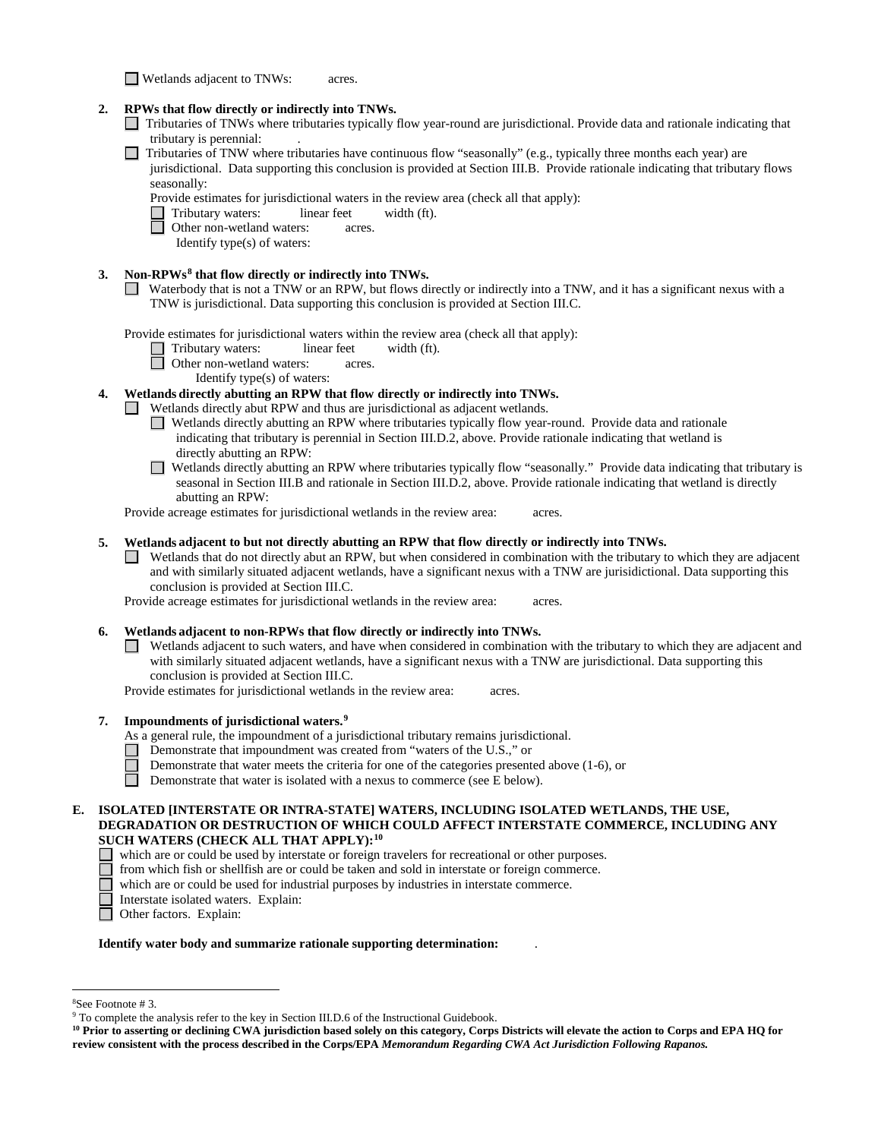Wetlands adjacent to TNWs: acres.

# **2. RPWs that flow directly or indirectly into TNWs.**

- Tributaries of TNWs where tributaries typically flow year-round are jurisdictional. Provide data and rationale indicating that tributary is perennial:
- Tributaries of TNW where tributaries have continuous flow "seasonally" (e.g., typically three months each year) are jurisdictional. Data supporting this conclusion is provided at Section III.B. Provide rationale indicating that tributary flows seasonally:

Provide estimates for jurisdictional waters in the review area (check all that apply):

Tributary waters: linear feet width (ft).<br> **O** Other non-wetland waters: acres.

Other non-wetland waters: acres.

Identify type(s) of waters:

# **3. Non-RPWs[8](#page-5-0) that flow directly or indirectly into TNWs.**

Waterbody that is not a TNW or an RPW, but flows directly or indirectly into a TNW, and it has a significant nexus with a TNW is jurisdictional. Data supporting this conclusion is provided at Section III.C.

Provide estimates for jurisdictional waters within the review area (check all that apply):

- Tributary waters: linear feet width (ft).
- Other non-wetland waters: acres.
	- Identify type(s) of waters:

# **4. Wetlands directly abutting an RPW that flow directly or indirectly into TNWs.**

- Wetlands directly abut RPW and thus are jurisdictional as adjacent wetlands.
	- Wetlands directly abutting an RPW where tributaries typically flow year-round. Provide data and rationale indicating that tributary is perennial in Section III.D.2, above. Provide rationale indicating that wetland is directly abutting an RPW:
	- Wetlands directly abutting an RPW where tributaries typically flow "seasonally." Provide data indicating that tributary is seasonal in Section III.B and rationale in Section III.D.2, above. Provide rationale indicating that wetland is directly abutting an RPW:

Provide acreage estimates for jurisdictional wetlands in the review area: acres.

## **5. Wetlands adjacent to but not directly abutting an RPW that flow directly or indirectly into TNWs.**

Wetlands that do not directly abut an RPW, but when considered in combination with the tributary to which they are adjacent and with similarly situated adjacent wetlands, have a significant nexus with a TNW are jurisidictional. Data supporting this conclusion is provided at Section III.C.

Provide acreage estimates for jurisdictional wetlands in the review area: acres.

#### **6. Wetlands adjacent to non-RPWs that flow directly or indirectly into TNWs.**

 $\Box$  Wetlands adjacent to such waters, and have when considered in combination with the tributary to which they are adjacent and with similarly situated adjacent wetlands, have a significant nexus with a TNW are jurisdictional. Data supporting this conclusion is provided at Section III.C.

Provide estimates for jurisdictional wetlands in the review area: acres.

- **7. Impoundments of jurisdictional waters. [9](#page-5-1)**
	- As a general rule, the impoundment of a jurisdictional tributary remains jurisdictional.
		- Demonstrate that impoundment was created from "waters of the U.S.," or
		- Demonstrate that water meets the criteria for one of the categories presented above (1-6), or
	- $\Box$ Demonstrate that water is isolated with a nexus to commerce (see E below).

### **E. ISOLATED [INTERSTATE OR INTRA-STATE] WATERS, INCLUDING ISOLATED WETLANDS, THE USE, DEGRADATION OR DESTRUCTION OF WHICH COULD AFFECT INTERSTATE COMMERCE, INCLUDING ANY SUCH WATERS (CHECK ALL THAT APPLY):[10](#page-5-2)**

- which are or could be used by interstate or foreign travelers for recreational or other purposes.
- $\Box$ from which fish or shellfish are or could be taken and sold in interstate or foreign commerce.
- $\Box$  which are or could be used for industrial purposes by industries in interstate commerce.
	- Interstate isolated waters.Explain:
- Other factors.Explain:

#### **Identify water body and summarize rationale supporting determination:** .

 $\frac{1}{8}$ 

<span id="page-5-1"></span><span id="page-5-0"></span><sup>&</sup>lt;sup>8</sup>See Footnote # 3. 9  $\degree$  3. 9 To complete the analysis refer to the key in Section III.D.6 of the Instructional Guidebook.

<span id="page-5-2"></span>**<sup>10</sup> Prior to asserting or declining CWA jurisdiction based solely on this category, Corps Districts will elevate the action to Corps and EPA HQ for review consistent with the process described in the Corps/EPA** *Memorandum Regarding CWA Act Jurisdiction Following Rapanos.*